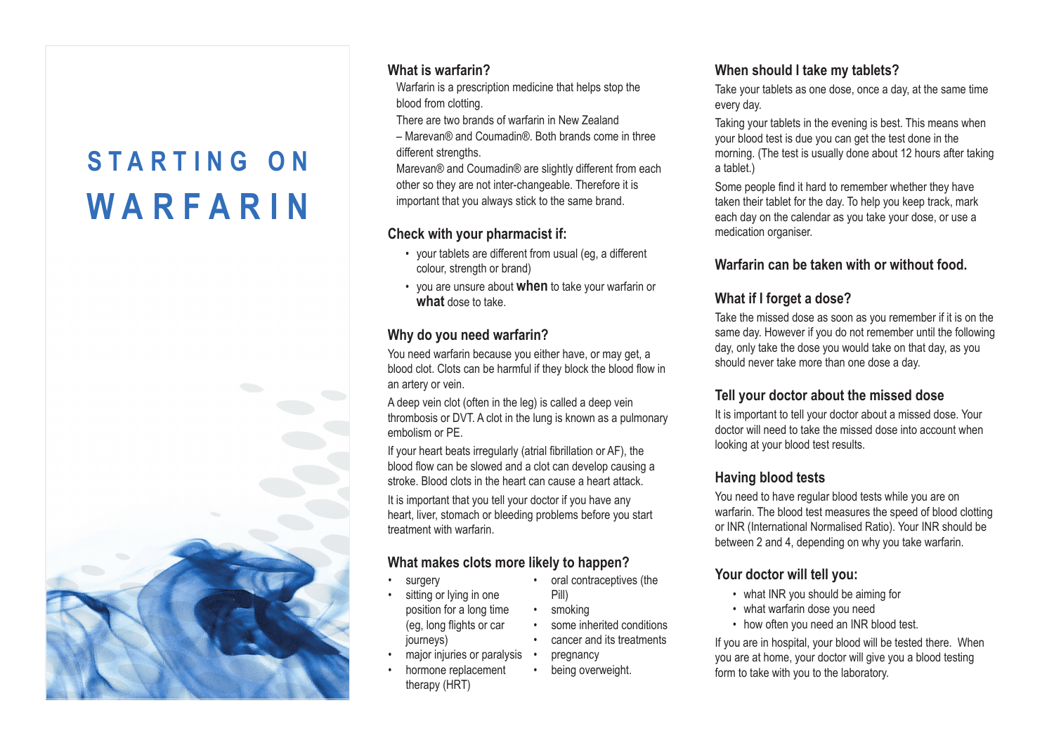# **S T A R T I N G O N W A R F A R I N**



#### **What is warfarin?**

Warfarin is a prescription medicine that helps stop the blood from clotting.

There are two brands of warfarin in New Zealand

– Marevan® and Coumadin®. Both brands come in three different strengths.

Marevan® and Coumadin® are slightly different from each other so they are not inter-changeable. Therefore it is important that you always stick to the same brand.

#### **Check with your pharmacist if:**

- your tablets are different from usual (eg, a different colour, strength or brand)
- you are unsure about **when** to take your warfarin or **what** dose to take.

#### **Why do you need warfarin?**

You need warfarin because you either have, or may get, a blood clot. Clots can be harmful if they block the blood flow in an artery or vein.

A deep vein clot (often in the leg) is called a deep vein thrombosis or DVT. A clot in the lung is known as a pulmonary embolism or PE.

If your heart beats irregularly (atrial fibrillation or AF), the blood flow can be slowed and a clot can develop causing a stroke. Blood clots in the heart can cause a heart attack.

It is important that you tell your doctor if you have any heart, liver, stomach or bleeding problems before you start treatment with warfarin.

#### **What makes clots more likely to happen?**

surgery •

•

- oral contraceptives (the Pill)
- sitting or lying in one position for a long time (eg, long flights or car journeys) •
- major injuries or paralysis
- hormone replacement therapy (HRT) •

**When should I take my tablets?**

Take your tablets as one dose, once a day, at the same time every day.

Taking your tablets in the evening is best. This means when your blood test is due you can get the test done in the morning. (The test is usually done about 12 hours after taking a tablet.)

Some people find it hard to remember whether they have taken their tablet for the day. To help you keep track, mark each day on the calendar as you take your dose, or use a medication organiser.

## **Warfarin can be taken with or without food.**

## **What if I forget a dose?**

Take the missed dose as soon as you remember if it is on the same day. However if you do not remember until the following day, only take the dose you would take on that day, as you should never take more than one dose a day.

## **Tell your doctor about the missed dose**

It is important to tell your doctor about a missed dose. Your doctor will need to take the missed dose into account when looking at your blood test results.

## **Having blood tests**

You need to have regular blood tests while you are on warfarin. The blood test measures the speed of blood clotting or INR (International Normalised Ratio). Your INR should be between 2 and 4, depending on why you take warfarin.

## **Your doctor will tell you:**

- what INR you should be aiming for
- what warfarin dose you need
- how often you need an INR blood test.

If you are in hospital, your blood will be tested there. When you are at home, your doctor will give you a blood testing form to take with you to the laboratory.

- smoking •
- some inherited conditions cancer and its treatments • •
- pregnancy
- being overweight. •